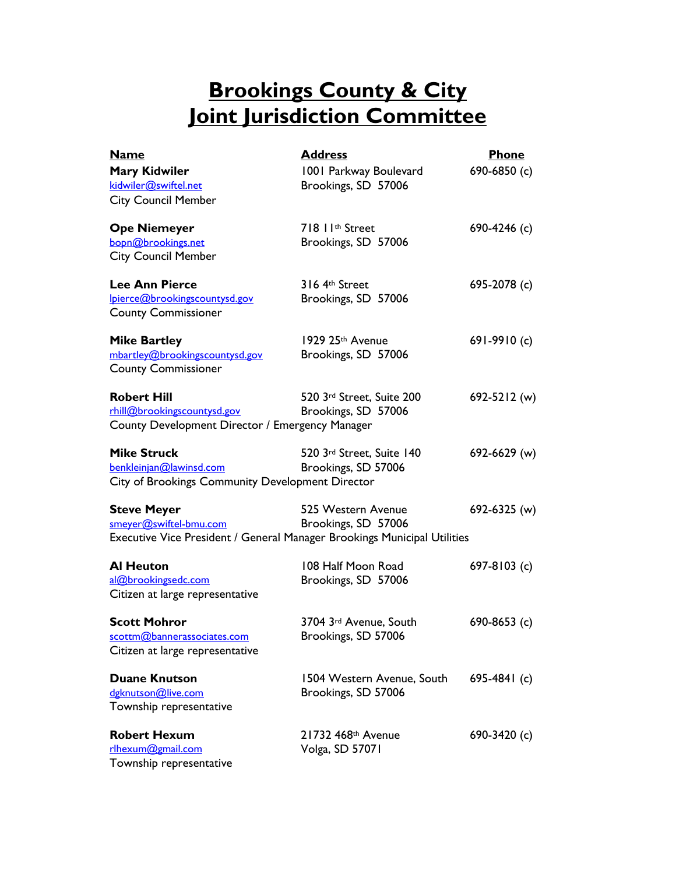# **Brookings County & City Joint Jurisdiction Committee**

| <b>Name</b>                                                                                          | <b>Address</b>                                                                                                        | <b>Phone</b>   |
|------------------------------------------------------------------------------------------------------|-----------------------------------------------------------------------------------------------------------------------|----------------|
| <b>Mary Kidwiler</b><br>kidwiler@swiftel.net<br><b>City Council Member</b>                           | 1001 Parkway Boulevard<br>Brookings, SD 57006                                                                         | 690-6850 (c)   |
| <b>Ope Niemeyer</b><br>bopn@brookings.net<br><b>City Council Member</b>                              | 718 11th Street<br>Brookings, SD 57006                                                                                | 690-4246 (c)   |
| <b>Lee Ann Pierce</b><br>Ipierce@brookingscountysd.gov<br><b>County Commissioner</b>                 | 316 4th Street<br>Brookings, SD 57006                                                                                 | 695-2078 (c)   |
| <b>Mike Bartley</b><br>mbartley@brookingscountysd.gov<br><b>County Commissioner</b>                  | 1929 25th Avenue<br>Brookings, SD 57006                                                                               | 691-9910 (c)   |
| <b>Robert Hill</b><br>rhill@brookingscountysd.gov<br>County Development Director / Emergency Manager | 520 3rd Street, Suite 200<br>Brookings, SD 57006                                                                      | 692-5212 (w)   |
| <b>Mike Struck</b><br>benkleinjan@lawinsd.com<br>City of Brookings Community Development Director    | 520 3rd Street, Suite 140<br>Brookings, SD 57006                                                                      | 692-6629 (w)   |
| <b>Steve Meyer</b><br>smeyer@swiftel-bmu.com                                                         | 525 Western Avenue<br>Brookings, SD 57006<br>Executive Vice President / General Manager Brookings Municipal Utilities | 692-6325 (w)   |
| <b>Al Heuton</b><br>al@brookingsedc.com<br>Citizen at large representative                           | 108 Half Moon Road<br>Brookings, SD 57006                                                                             | 697-8103 $(c)$ |
| <b>Scott Mohror</b><br>scottm@bannerassociates.com<br>Citizen at large representative                | 3704 3rd Avenue, South<br>Brookings, SD 57006                                                                         | 690-8653 (c)   |
| <b>Duane Knutson</b><br>dgknutson@live.com<br>Township representative                                | 1504 Western Avenue, South<br>Brookings, SD 57006                                                                     | 695-4841 $(c)$ |
| <b>Robert Hexum</b><br>rlhexum@gmail.com<br>Township representative                                  | 21732 468th Avenue<br>Volga, SD 57071                                                                                 | 690-3420 (c)   |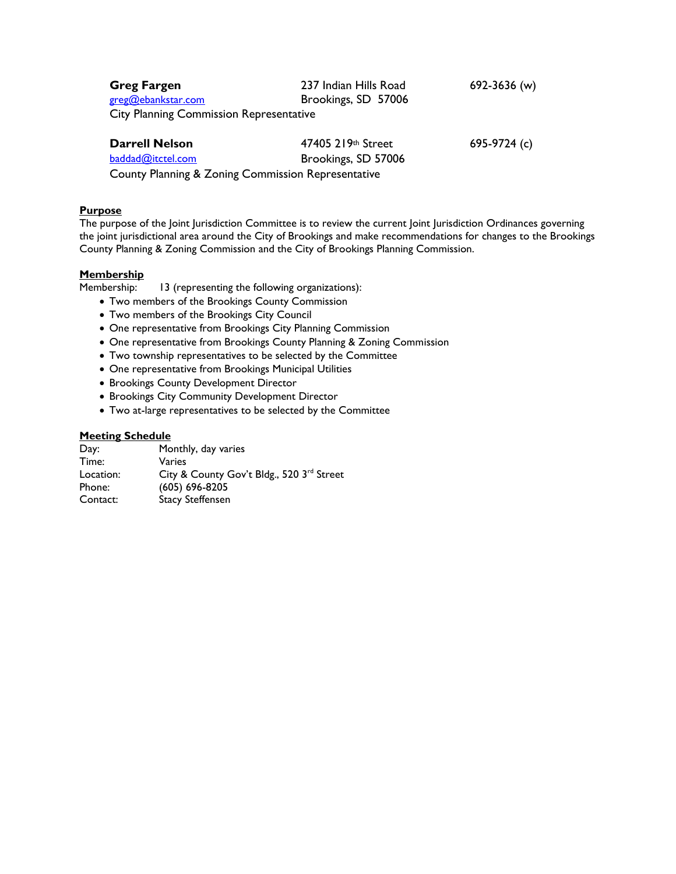| <b>Greg Fargen</b>                             | 237 Indian Hills Road | 692-3636 (w) |
|------------------------------------------------|-----------------------|--------------|
| greg@ebankstar.com                             | Brookings, SD 57006   |              |
| <b>City Planning Commission Representative</b> |                       |              |
| <b>Darrell Nelson</b>                          | 47405 219th Street    | 695-9724 (c) |
| baddad@itctel.com                              | Brookings, SD 57006   |              |

County Planning & Zoning Commission Representative

#### **Purpose**

The purpose of the Joint Jurisdiction Committee is to review the current Joint Jurisdiction Ordinances governing the joint jurisdictional area around the City of Brookings and make recommendations for changes to the Brookings County Planning & Zoning Commission and the City of Brookings Planning Commission.

### **Membership**

Membership: 13 (representing the following organizations):

- Two members of the Brookings County Commission
- Two members of the Brookings City Council
- One representative from Brookings City Planning Commission
- One representative from Brookings County Planning & Zoning Commission
- Two township representatives to be selected by the Committee
- One representative from Brookings Municipal Utilities
- **Brookings County Development Director**
- **Brookings City Community Development Director**
- Two at-large representatives to be selected by the Committee

#### **Meeting Schedule**

| Day:      | Monthly, day varies                       |
|-----------|-------------------------------------------|
| Time:     | Varies                                    |
| Location: | City & County Gov't Bldg., 520 3rd Street |
| Phone:    | $(605) 696 - 8205$                        |
| Contact:  | <b>Stacy Steffensen</b>                   |